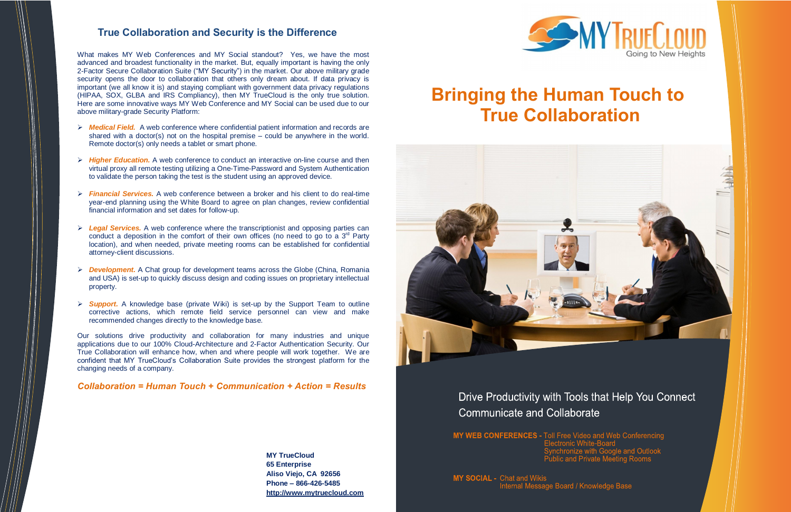**MY TrueCloud 65 Enterprise Aliso Viejo, CA 92656 Phone – 866-426-5485 [http://www.mytruecloud.com](http://www.mytruecloud.com/)**

## **True Collaboration and Security is the Difference**

What makes MY Web Conferences and MY Social standout? Yes, we have the most advanced and broadest functionality in the market. But, equally important is having the only 2-Factor Secure Collaboration Suite ("MY Security") in the market. Our above military grade security opens the door to collaboration that others only dream about. If data privacy is important (we all know it is) and staying compliant with government data privacy regulations (HIPAA, SOX, GLBA and IRS Compliancy), then MY TrueCloud is the only true solution. Here are some innovative ways MY Web Conference and MY Social can be used due to our above military-grade Security Platform:

- *Medical Field.*A web conference where confidential patient information and records are shared with a doctor(s) not on the hospital premise – could be anywhere in the world. Remote doctor(s) only needs a tablet or smart phone.
- *Higher Education.* A web conference to conduct an interactive on-line course and then virtual proxy all remote testing utilizing a One-Time-Password and System Authentication to validate the person taking the test is the student using an approved device.
- *Financial Services.* A web conference between a broker and his client to do real-time year-end planning using the White Board to agree on plan changes, review confidential financial information and set dates for follow-up.
- *Legal Services.* A web conference where the transcriptionist and opposing parties can conduct a deposition in the comfort of their own offices (no need to go to a  $3<sup>rd</sup>$  Party location), and when needed, private meeting rooms can be established for confidential attorney-client discussions.
- *Development.* A Chat group for development teams across the Globe (China, Romania and USA) is set-up to quickly discuss design and coding issues on proprietary intellectual property.
- *Support.* A knowledge base (private Wiki) is set-up by the Support Team to outline corrective actions, which remote field service personnel can view and make recommended changes directly to the knowledge base.

Our solutions drive productivity and collaboration for many industries and unique applications due to our 100% Cloud-Architecture and 2-Factor Authentication Security. Our True Collaboration will enhance how, when and where people will work together. We are confident that MY TrueCloud's Collaboration Suite provides the strongest platform for the changing needs of a company.

### *Collaboration = Human Touch + Communication + Action = Results*

# **Bringing the Human Touch to True Collaboration**



## Drive Productivity with Tools that Help You Connect **Communicate and Collaborate**

MY WEB CONFERENCES - Toll Free Video and Web Conferencing

**MY SOCIAL - Chat and Wikis** Internal Message Board / Knowledge Base



Synchronize with Google and Outlook<br>Public and Private Meeting Rooms